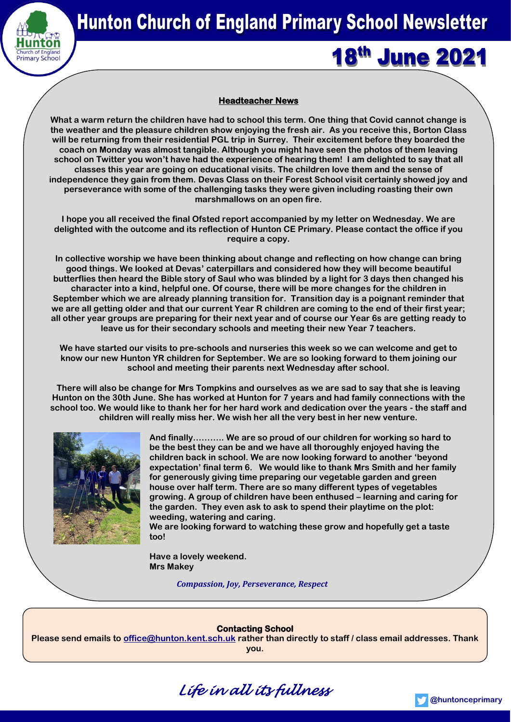

**18<sup>th</sup> June 2021** 

# **Headteacher News**

**What a warm return the children have had to school this term. One thing that Covid cannot change is the weather and the pleasure children show enjoying the fresh air. As you receive this, Borton Class will be returning from their residential PGL trip in Surrey. Their excitement before they boarded the coach on Monday was almost tangible. Although you might have seen the photos of them leaving school on Twitter you won't have had the experience of hearing them! I am delighted to say that all classes this year are going on educational visits. The children love them and the sense of independence they gain from them. Devas Class on their Forest School visit certainly showed joy and perseverance with some of the challenging tasks they were given including roasting their own marshmallows on an open fire.**

**I hope you all received the final Ofsted report accompanied by my letter on Wednesday. We are delighted with the outcome and its reflection of Hunton CE Primary. Please contact the office if you require a copy.**

**In collective worship we have been thinking about change and reflecting on how change can bring good things. We looked at Devas' caterpillars and considered how they will become beautiful butterflies then heard the Bible story of Saul who was blinded by a light for 3 days then changed his character into a kind, helpful one. Of course, there will be more changes for the children in September which we are already planning transition for. Transition day is a poignant reminder that we are all getting older and that our current Year R children are coming to the end of their first year; all other year groups are preparing for their next year and of course our Year 6s are getting ready to leave us for their secondary schools and meeting their new Year 7 teachers.**

**We have started our visits to pre-schools and nurseries this week so we can welcome and get to know our new Hunton YR children for September. We are so looking forward to them joining our school and meeting their parents next Wednesday after school.**

**There will also be change for Mrs Tompkins and ourselves as we are sad to say that she is leaving Hunton on the 30th June. She has worked at Hunton for 7 years and had family connections with the school too. We would like to thank her for her hard work and dedication over the years - the staff and children will really miss her. We wish her all the very best in her new venture.** 



**And finally……….. We are so proud of our children for working so hard to be the best they can be and we have all thoroughly enjoyed having the children back in school. We are now looking forward to another 'beyond expectation' final term 6. We would like to thank Mrs Smith and her family for generously giving time preparing our vegetable garden and green house over half term. There are so many different types of vegetables growing. A group of children have been enthused – learning and caring for the garden. They even ask to ask to spend their playtime on the plot: weeding, watering and caring.**

**We are looking forward to watching these grow and hopefully get a taste too!**

**Have a lovely weekend. Mrs Makey**

*Compassion, Joy, Perseverance, Respect*

#### **Contacting School**

**Please send emails to [office@hunton.kent.sch.uk](mailto:office@hunton.kent.sch.uk) rather than directly to staff / class email addresses. Thank you.**



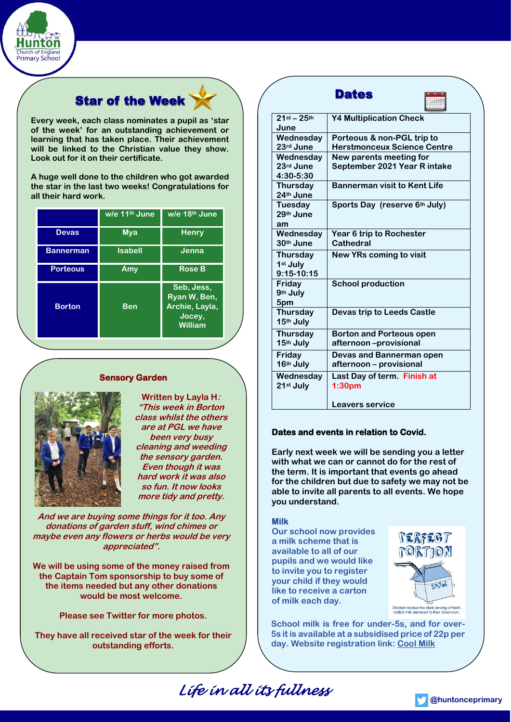

# **Star of the Week**

**Every week, each class nominates a pupil as 'star of the week' for an outstanding achievement or learning that has taken place. Their achievement will be linked to the Christian value they show. Look out for it on their certificate.** 

**A huge well done to the children who got awarded the star in the last two weeks! Congratulations for all their hard work.**

|                  | w/e 11 <sup>th</sup> June | w/e 18 <sup>th</sup> June                                         |
|------------------|---------------------------|-------------------------------------------------------------------|
| <b>Devas</b>     | <b>Mya</b>                | <b>Henry</b>                                                      |
| <b>Bannerman</b> | <b>Isabell</b>            | Jenna                                                             |
| <b>Porteous</b>  | Amy                       | <b>Rose B</b>                                                     |
| <b>Borton</b>    | <b>Ben</b>                | Seb, Jess,<br>Ryan W, Ben,<br>Archie, Layla,<br>Jocey,<br>William |

# **Sensory Garden**



**Written by Layla H: "This week in Borton class whilst the others are at PGL we have been very busy cleaning and weeding the sensory garden. Even though it was hard work it was also so fun. It now looks more tidy and pretty.** 

**And we are buying some things for it too. Any donations of garden stuff, wind chimes or maybe even any flowers or herbs would be very appreciated".**

**We will be using some of the money raised from the Captain Tom sponsorship to buy some of the items needed but any other donations would be most welcome.**

**Please see Twitter for more photos.**

**They have all received star of the week for their outstanding efforts.**

|                                             | <b>Dates</b>                                                     |
|---------------------------------------------|------------------------------------------------------------------|
| $21$ st - $25$ th<br>June                   | <b>Y4 Multiplication Check</b>                                   |
| Wednesday<br>23rd June                      | Porteous & non-PGL trip to<br><b>Herstmonceux Science Centre</b> |
| Wednesday<br>23rd June<br>4:30-5:30         | New parents meeting for<br>September 2021 Year R intake          |
| Thursday<br>24th June                       | <b>Bannerman visit to Kent Life</b>                              |
| Tuesday<br>29 <sup>th</sup> June<br>am      | Sports Day (reserve 6th July)                                    |
| Wednesday<br>30th June                      | Year 6 trip to Rochester<br>Cathedral                            |
| <b>Thursday</b><br>1st July<br>$9:15-10:15$ | New YRs coming to visit                                          |
| Friday<br>9th July<br>5pm                   | <b>School production</b>                                         |
| <b>Thursday</b><br>15th July                | Devas trip to Leeds Castle                                       |
| <b>Thursday</b><br>15th July                | <b>Borton and Porteous open</b><br>afternoon –provisional        |
| Friday<br>16th July                         | <b>Devas and Bannerman open</b><br>afternoon - provisional       |
| Wednesday<br>21st July                      | Last Day of term. Finish at<br>1:30 <sub>pm</sub>                |
|                                             | <b>Leavers service</b>                                           |

# **Dates and events in relation to Covid.**

**Early next week we will be sending you a letter with what we can or cannot do for the rest of the term. It is important that events go ahead for the children but due to safety we may not be able to invite all parents to all events. We hope you understand.**

# **Milk**

**Our school now provides a milk scheme that is available to all of our pupils and we would like to invite you to register your child if they would like to receive a carton of milk each day.** 



**School milk is free for under-5s, and for over-5s it is available at a subsidised price of 22p per day. Website registration link: [Cool Milk](https://customers.coolmilk.com/v2/register/)**